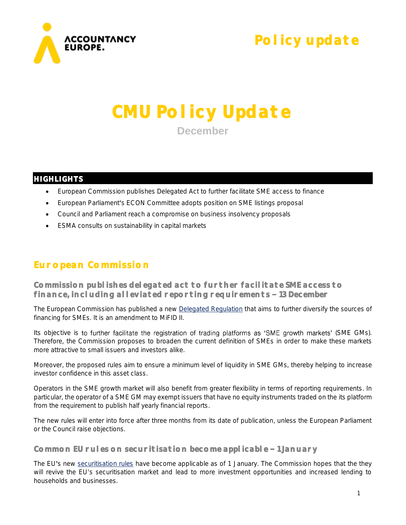

## **Policy update**

# **CMU Policy Update December**

#### **HIGHLIGHTS**

- European Commission publishes Delegated Act to further facilitate SME access to finance
- European Parliament's ECON Committee adopts position on SME listings proposal
- Council and Parliament reach a compromise on business insolvency proposals
- ESMA consults on sustainability in capital markets

## **European Commission**

**Commission publishes delegated act to further facilitate SME access to**  finance, including alleviated reporting requirements - 13 December

The European Commission has published a new [Delegated Regulation](http://ec.europa.eu/transparency/regdoc/rep/3/2018/EN/C-2018-8442-F1-EN-MAIN-PART-1.PDF) that aims to further diversify the sources of financing for SMEs. It is an amendment to MiFID II.

Its objective is to further facilitate the registration of trading platforms as 'SME growth markets' (SME GMs). Therefore, the Commission proposes to broaden the current definition of SMEs in order to make these markets more attractive to small issuers and investors alike.

Moreover, the proposed rules aim to ensure a minimum level of liquidity in SME GMs, thereby helping to increase investor confidence in this asset class.

Operators in the SME growth market will also benefit from greater flexibility in terms of reporting requirements. In particular, the operator of a SME GM may exempt issuers that have no equity instruments traded on the its platform from the requirement to publish half yearly financial reports.

The new rules will enter into force after three months from its date of publication, unless the European Parliament or the Council raise objections.

#### **Common EU rules on securitisation become applicable 1 January**

The EU's new [securitisation rules](https://eur-lex.europa.eu/legal-content/EN/TXT/HTML/?uri=CELEX:32017R2402&from=en) have become applicable as of 1 January. The Commission hopes that the they will revive the EU's securitisation market and lead to more investment opportunities and increased lending to households and businesses.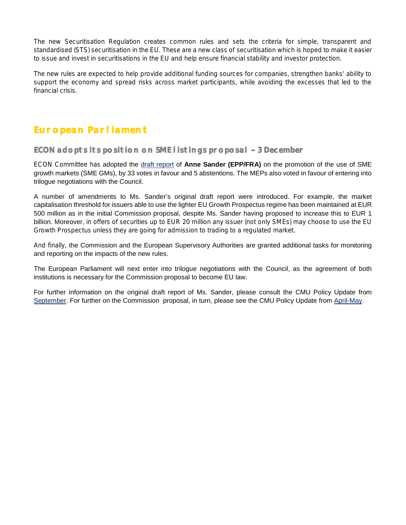The new Securitisation Regulation creates common rules and sets the criteria for simple, transparent and standardised (STS) securitisation in the EU. These are a new class of securitisation which is hoped to make it easier to issue and invest in securitisations in the EU and help ensure financial stability and investor protection.

The new rules are expected to help provide additional funding sources for companies, strengthen banks' ability to support the economy and spread risks across market participants, while avoiding the excesses that led to the financial crisis.

#### **European Parliament**

**ECON adopts its position on SME listings proposal - 3 December** 

ECON Committee has adopted the [draft report](http://www.europarl.europa.eu/sides/getDoc.do?type=REPORT&mode=XML&reference=A8-2018-0437&language=EN) of **Anne Sander (EPP/FRA)** on the promotion of the use of SME growth markets (SME GMs), by 33 votes in favour and 5 abstentions. The MEPs also voted in favour of entering into trilogue negotiations with the Council.

A number of amendments to Ms. Sander's original draft report were introduced. For example, the market capitalisation threshold for issuers able to use the lighter EU Growth Prospectus regime has been maintained at EUR 500 million as in the initial Commission proposal, despite Ms. Sander having proposed to increase this to EUR 1 billion. Moreover, in offers of securities up to EUR 20 million any issuer (not only SMEs) may choose to use the EU Growth Prospectus unless they are going for admission to trading to a regulated market.

And finally, the Commission and the European Supervisory Authorities are granted additional tasks for monitoring and reporting on the impacts of the new rules.

The European Parliament will next enter into trilogue negotiations with the Council, as the agreement of both institutions is necessary for the Commission proposal to become EU law.

For further information on the original draft report of Ms. Sander, please consult the CMU Policy Update from [September.](https://www.accountancyeurope.eu/wp-content/uploads/181002_CMU-PU-September.pdf) For further on the Commission proposal, in turn, please see the CMU Policy Update from [April-May.](https://www.accountancyeurope.eu/wp-content/uploads/180604_CMU-PU-April-May.pdf)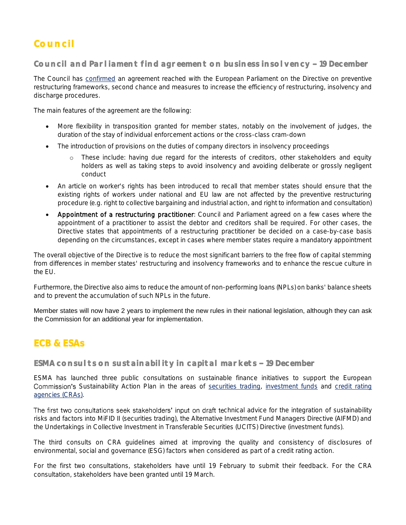## **Council**

**Council and Parliament find agreement on business insolvency 19 December** 

The Council has [confirmed](https://www.consilium.europa.eu/en/press/press-releases/2018/12/19/eu-agrees-new-rules-on-business-insolvency/) an agreement reached with the European Parliament on the Directive on preventive restructuring frameworks, second chance and measures to increase the efficiency of restructuring, insolvency and discharge procedures.

The main features of the agreement are the following:

- More flexibility in transposition granted for member states, notably on the involvement of judges, the duration of the stay of individual enforcement actions or the cross-class cram-down
- The introduction of provisions on the duties of company directors in insolvency proceedings
	- These include: having due regard for the interests of creditors, other stakeholders and equity holders as well as taking steps to avoid insolvency and avoiding deliberate or grossly negligent conduct
- An article on worker's rights has been introduced to recall that member states should ensure that the existing rights of workers under national and EU law are not affected by the preventive restructuring procedure (e.g. right to collective bargaining and industrial action, and right to information and consultation)
- Appointment of a restructuring practitioner: Council and Parliament agreed on a few cases where the appointment of a practitioner to assist the debtor and creditors shall be required. For other cases, the Directive states that appointments of a restructuring practitioner be decided on a case-by-case basis depending on the circumstances, except in cases where member states require a mandatory appointment

The overall objective of the Directive is to reduce the most significant barriers to the free flow of capital stemming from differences in member states' restructuring and insolvency frameworks and to enhance the rescue culture in the EU.

Furthermore, the Directive also aims to reduce the amount of non-performing loans (NPLs) on banks' balance sheets and to prevent the accumulation of such NPLs in the future.

Member states will now have 2 years to implement the new rules in their national legislation, although they can ask the Commission for an additional year for implementation.

### **ECB & ESAs**

**ESMA consults on sustainability in capital markets - 19 December** 

ESMA has launched three public consultations on sustainable finance initiatives to support the European Commission's Sustainability Action Plan in the areas of [securities trading,](https://www.esma.europa.eu/press-news/consultations/consultation-integrating-sustainability-risks-and-factors-in-mifid-ii) [investment funds](https://www.esma.europa.eu/press-news/consultations/consultation-integrating-sustainability-risks-and-factors-in-ucits) and [credit rating](https://www.esma.europa.eu/press-news/consultations/consultation-integrating-sustainability-risks-and-factors-in-ucits) [agencies \(CRAs\).](https://www.esma.europa.eu/press-news/consultations/consultation-integrating-sustainability-risks-and-factors-in-ucits)

The first two consultations seek stakeholders' input on draft technical advice for the integration of sustainability risks and factors into MiFID II (securities trading), the Alternative Investment Fund Managers Directive (AIFMD) and the Undertakings in Collective Investment in Transferable Securities (UCITS) Directive (investment funds).

The third consults on CRA guidelines aimed at improving the quality and consistency of disclosures of environmental, social and governance (ESG) factors when considered as part of a credit rating action.

For the first two consultations, stakeholders have until 19 February to submit their feedback. For the CRA consultation, stakeholders have been granted until 19 March.